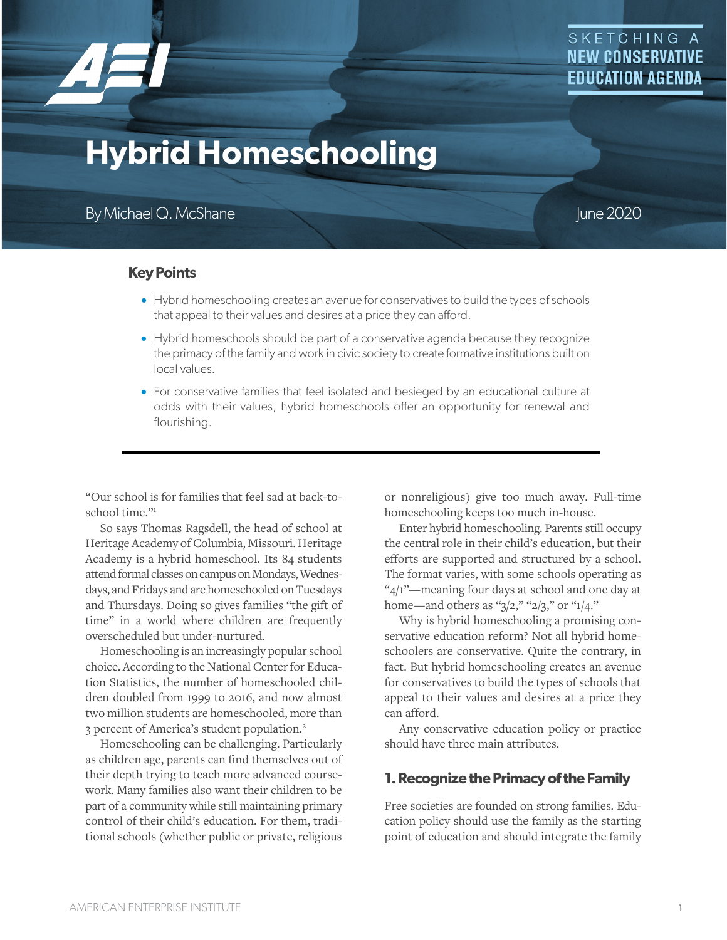

# **Hybrid Homeschooling**

By Michael Q. McShane June 2020

**Key Points**

- Hybrid homeschooling creates an avenue for conservatives to build the types of schools that appeal to their values and desires at a price they can afford.
- Hybrid homeschools should be part of a conservative agenda because they recognize the primacy of the family and work in civic society to create formative institutions built on local values.
- For conservative families that feel isolated and besieged by an educational culture at odds with their values, hybrid homeschools offer an opportunity for renewal and flourishing.

"Our school is for families that feel sad at back-toschool time."1

So says Thomas Ragsdell, the head of school at Heritage Academy of Columbia, Missouri. Heritage Academy is a hybrid homeschool. Its 84 students attend formal classes on campus on Mondays, Wednesdays, and Fridays and are homeschooled on Tuesdays and Thursdays. Doing so gives families "the gift of time" in a world where children are frequently overscheduled but under-nurtured.

Homeschooling is an increasingly popular school choice. According to the National Center for Education Statistics, the number of homeschooled children doubled from 1999 to 2016, and now almost two million students are homeschooled, more than 3 percent of America's student population.2

Homeschooling can be challenging. Particularly as children age, parents can find themselves out of their depth trying to teach more advanced coursework. Many families also want their children to be part of a community while still maintaining primary control of their child's education. For them, traditional schools (whether public or private, religious

or nonreligious) give too much away. Full-time homeschooling keeps too much in-house.

Enter hybrid homeschooling. Parents still occupy the central role in their child's education, but their efforts are supported and structured by a school. The format varies, with some schools operating as "4/1"—meaning four days at school and one day at home—and others as " $3/2$ ," " $2/3$ ," or " $1/4$ ."

Why is hybrid homeschooling a promising conservative education reform? Not all hybrid homeschoolers are conservative. Quite the contrary, in fact. But hybrid homeschooling creates an avenue for conservatives to build the types of schools that appeal to their values and desires at a price they can afford.

Any conservative education policy or practice should have three main attributes.

## **1.Recognize the Primacy of the Family**

Free societies are founded on strong families. Education policy should use the family as the starting point of education and should integrate the family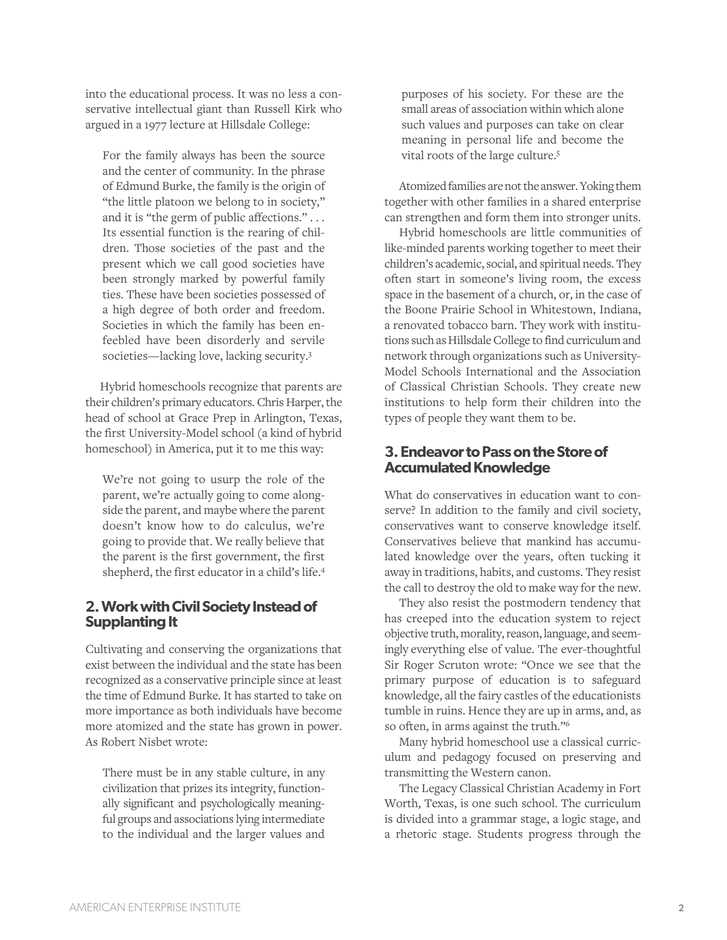into the educational process. It was no less a conservative intellectual giant than Russell Kirk who argued in a 1977 lecture at Hillsdale College:

For the family always has been the source and the center of community. In the phrase of Edmund Burke, the family is the origin of "the little platoon we belong to in society," and it is "the germ of public affections." . . . Its essential function is the rearing of children. Those societies of the past and the present which we call good societies have been strongly marked by powerful family ties. These have been societies possessed of a high degree of both order and freedom. Societies in which the family has been enfeebled have been disorderly and servile societies—lacking love, lacking security.3

Hybrid homeschools recognize that parents are their children's primary educators. Chris Harper, the head of school at Grace Prep in Arlington, Texas, the first University-Model school (a kind of hybrid homeschool) in America, put it to me this way:

We're not going to usurp the role of the parent, we're actually going to come alongside the parent, and maybe where the parent doesn't know how to do calculus, we're going to provide that. We really believe that the parent is the first government, the first shepherd, the first educator in a child's life.4

## **2. Work with Civil Society Instead of Supplanting It**

Cultivating and conserving the organizations that exist between the individual and the state has been recognized as a conservative principle since at least the time of Edmund Burke. It has started to take on more importance as both individuals have become more atomized and the state has grown in power. As Robert Nisbet wrote:

There must be in any stable culture, in any civilization that prizes its integrity, functionally significant and psychologically meaningful groups and associations lying intermediate to the individual and the larger values and purposes of his society. For these are the small areas of association within which alone such values and purposes can take on clear meaning in personal life and become the vital roots of the large culture.5

Atomized families are not the answer. Yoking them together with other families in a shared enterprise can strengthen and form them into stronger units.

Hybrid homeschools are little communities of like-minded parents working together to meet their children's academic, social, and spiritual needs. They often start in someone's living room, the excess space in the basement of a church, or, in the case of the Boone Prairie School in Whitestown, Indiana, a renovated tobacco barn. They work with institutions such as Hillsdale College to find curriculum and network through organizations such as University-Model Schools International and the Association of Classical Christian Schools. They create new institutions to help form their children into the types of people they want them to be.

## **3. Endeavor to Pass on the Store of Accumulated Knowledge**

What do conservatives in education want to conserve? In addition to the family and civil society, conservatives want to conserve knowledge itself. Conservatives believe that mankind has accumulated knowledge over the years, often tucking it away in traditions, habits, and customs. They resist the call to destroy the old to make way for the new.

They also resist the postmodern tendency that has creeped into the education system to reject objective truth, morality, reason, language, and seemingly everything else of value. The ever-thoughtful Sir Roger Scruton wrote: "Once we see that the primary purpose of education is to safeguard knowledge, all the fairy castles of the educationists tumble in ruins. Hence they are up in arms, and, as so often, in arms against the truth."6

Many hybrid homeschool use a classical curriculum and pedagogy focused on preserving and transmitting the Western canon.

The Legacy Classical Christian Academy in Fort Worth, Texas, is one such school. The curriculum is divided into a grammar stage, a logic stage, and a rhetoric stage. Students progress through the